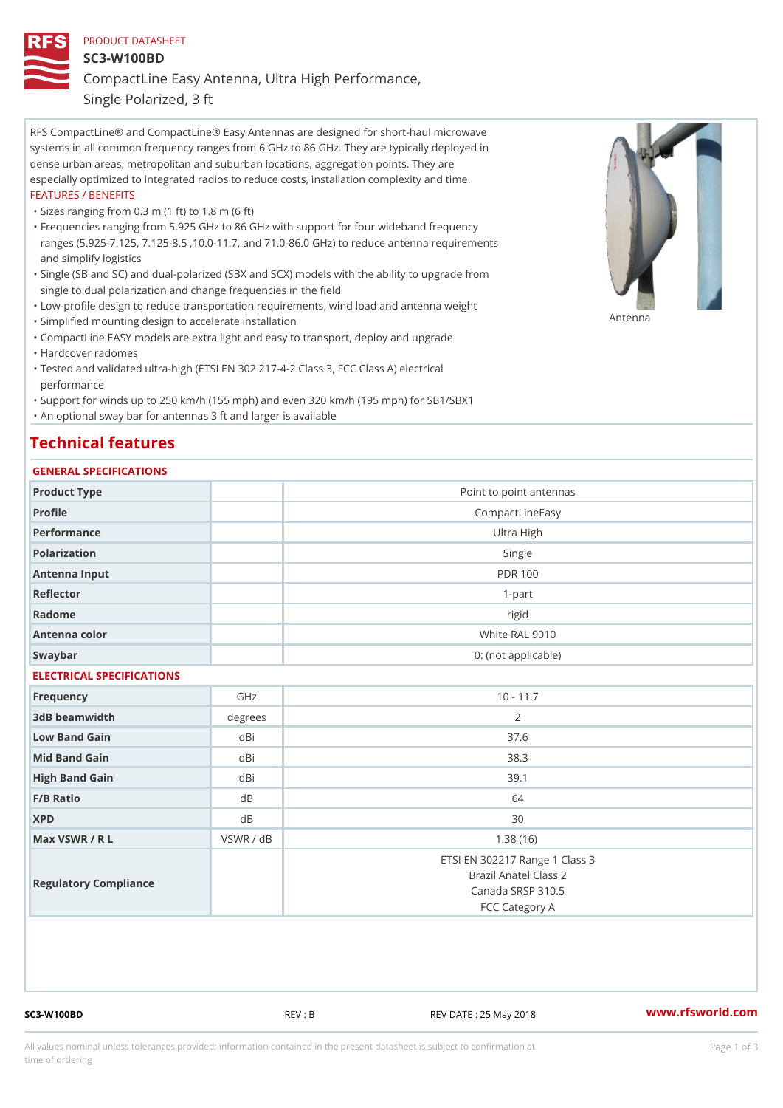## PRODUCT DATASHEET SC3-W100BD CompactLine Easy Antenna, Ultra High Performance,

Single Polarized, 3 ft

RFS CompactLine® and CompactLine® Easy Antennas are designed for short-haul microwave systems in all common frequency ranges from 6 GHz to 86 GHz. They are typically deployed in dense urban areas, metropolitan and suburban locations, aggregation points. They are especially optimized to integrated radios to reduce costs, installation complexity and time. FEATURES / BENEFITS

"Sizes ranging from 0.3 m (1 ft) to 1.8 m (6 ft)

- Frequencies ranging from 5.925 GHz to 86 GHz with support for four wideband frequency " ranges (5.925-7.125, 7.125-8.5 ,10.0-11.7, and 71.0-86.0 GHz) to reduce antenna requirements and simplify logistics
- Single (SB and SC) and dual-polarized (SBX and SCX) models with the ability to upgrade from " single to dual polarization and change frequencies in the field
- "Low-profile design to reduce transportation requirements, wind load and antenna weight
- "Simplified mounting design to accelerate installation

 "CompactLine EASY models are extra light and easy to transport, deploy and upgrade "Hardcover radomes

Tested and validated ultra-high (ETSI EN 302 217-4-2 Class 3, FCC Class A) electrical " performance

 "Support for winds up to 250 km/h (155 mph) and even 320 km/h (195 mph) for SB1/SBX1 "An optional sway bar for antennas 3 ft and larger is available

## Technical features

## GENERAL SPECIFICATIONS

| Product Type              |           | Point to point antennas                                                                        |
|---------------------------|-----------|------------------------------------------------------------------------------------------------|
| Profile                   |           | CompactLineEasy                                                                                |
| Performance               |           | Ultra High                                                                                     |
| Polarization              |           | Single                                                                                         |
| Antenna Input             |           | <b>PDR 100</b>                                                                                 |
| Reflector                 |           | $1-part$                                                                                       |
| Radome                    |           | rigid                                                                                          |
| Antenna color             |           | White RAL 9010                                                                                 |
| Swaybar                   |           | 0: (not applicable)                                                                            |
| ELECTRICAL SPECIFICATIONS |           |                                                                                                |
| Frequency                 | GHz       | $10 - 11.7$                                                                                    |
| 3dB beamwidth             | degrees   | 2                                                                                              |
| Low Band Gain             | dBi       | 37.6                                                                                           |
| Mid Band Gain             | dBi       | 38.3                                                                                           |
| High Band Gain            | dBi       | 39.1                                                                                           |
| $F/B$ Ratio               | d B       | 64                                                                                             |
| <b>XPD</b>                | $d$ B     | 30                                                                                             |
| Max VSWR / R L            | VSWR / dB | 1.38(16)                                                                                       |
| Regulatory Compliance     |           | ETSI EN 302217 Range 1 Class 3<br>Brazil Anatel Class 2<br>Canada SRSP 310.5<br>FCC Category A |

SC3-W100BD REV : B REV DATE : 25 May 2018 [www.](https://www.rfsworld.com)rfsworld.com

Antenna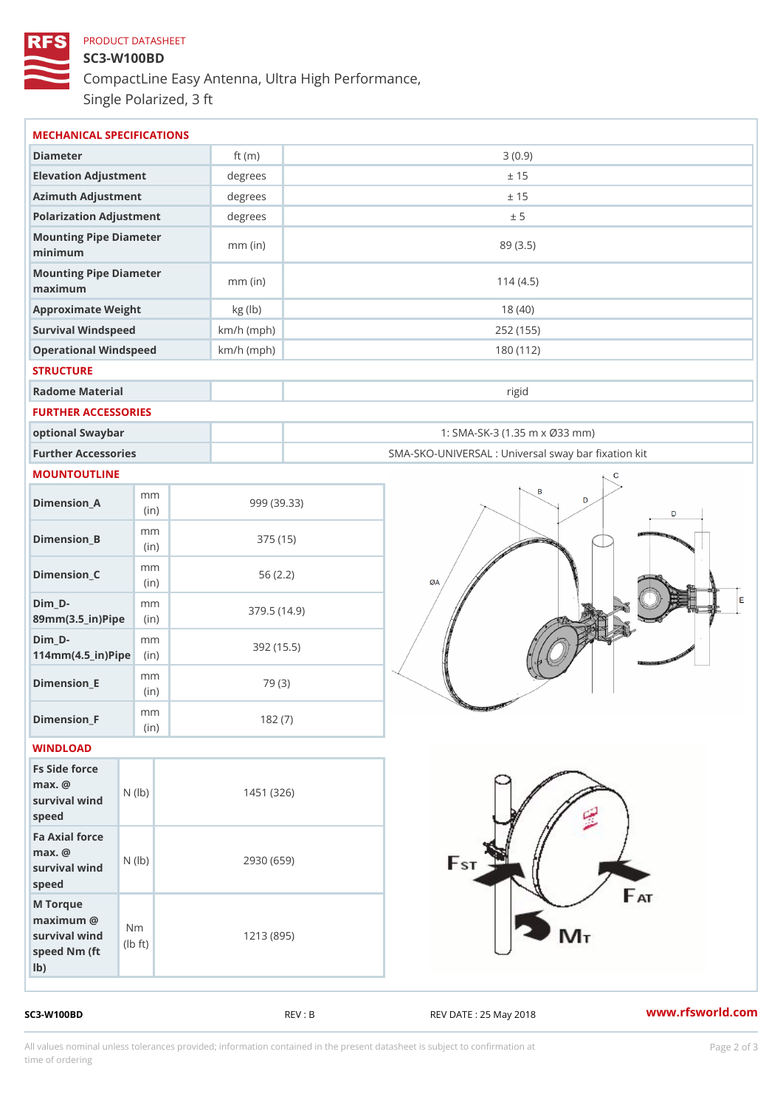## PRODUCT DATASHEET SC3-W100BD CompactLine Easy Antenna, Ultra High Performance, Single Polarized, 3 ft

| MECHANICAL SPECIFICATIONS                                                                                     |              |                                                   |
|---------------------------------------------------------------------------------------------------------------|--------------|---------------------------------------------------|
| Diameter                                                                                                      | ft $(m)$     | 3(0.9)                                            |
| Elevation Adjustment                                                                                          | degrees      | ± 15                                              |
| Azimuth Adjustment                                                                                            | $degree$ :   | ± 15                                              |
| Polarization Adjustment                                                                                       | degrees      | ± 5                                               |
| Mounting Pipe Diameter                                                                                        |              |                                                   |
| minimum                                                                                                       | $mm$ (in)    | 89 (3.5)                                          |
| Mounting Pipe Diameter<br>maximum                                                                             | $mm$ (in)    | 114(4.5)                                          |
| Approximate Weight                                                                                            | kg (lb)      | 18(40)                                            |
| Survival Windspeed                                                                                            | $km/h$ (mph) | 252 (155)                                         |
| Operational Windspeed                                                                                         | $km/h$ (mph) | 180 (112)                                         |
| <b>STRUCTURE</b>                                                                                              |              |                                                   |
| Radome Material                                                                                               |              | rigid                                             |
| FURTHER ACCESSORIES                                                                                           |              |                                                   |
| optional Swaybar                                                                                              |              | 1: SMA-SK-3 (1.35 m x Ø33 mm)                     |
| Further Accessories                                                                                           |              | SMA-SKO-UNIVERSAL : Universal sway bar fixation l |
| MOUNTOUTLINE                                                                                                  |              |                                                   |
| m m<br>$Dimen sion_A$<br>(in)                                                                                 |              | 999 (39.33)                                       |
| m m<br>$Dimension_B$<br>(in)                                                                                  |              | 375 (15)                                          |
| m m<br>$Dimension_C$<br>(in)                                                                                  |              | 56(2.2)                                           |
| $Dim_D - D -$<br>m m<br>89mm (3.5_in) Pi(pine)                                                                |              | 379.5(14.9)                                       |
| $Dim_D - D -$<br>m m<br>$114$ m m $(4.5$ _ ir $)$ $R$ ii p $e$                                                |              | 392 (15.5)                                        |
| m m<br>$Dimension$ = E<br>(in)                                                                                |              | 79 (3)                                            |
| m m<br>$Dimension_F$<br>(in)                                                                                  |              | 182(7)                                            |
| WINDLOAD                                                                                                      |              |                                                   |
| Fs Side force<br>$max.$ @<br>$(\mathsf{I}\mathsf{b})$<br>survival wind<br>speed                               |              | 1451 (326)                                        |
| Fa Axial force<br>$max.$ @<br>survival wind (1b)<br>speed                                                     |              | 2930 (659)                                        |
| M Torque<br>$maximum$ @<br>N <sub>m</sub><br>survival wind<br>$\uparrow$ t )<br>(Ib<br>speed Nm (ft<br>$1b$ ) |              | 1213 (895)                                        |

SC3-W100BD REV : B REV DATE : 25 May 2018 [www.](https://www.rfsworld.com)rfsworld.com